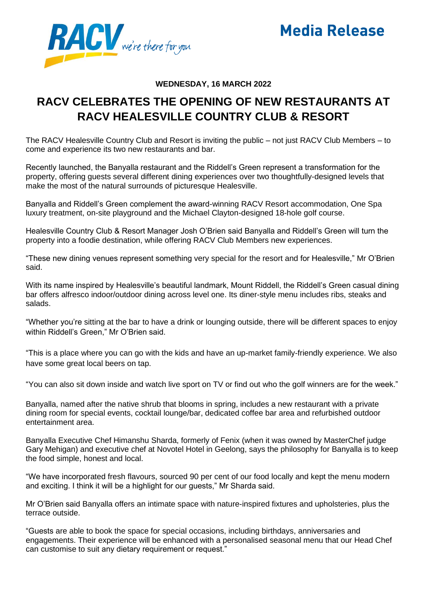

## **Media Release**

## **WEDNESDAY, 16 MARCH 2022**

## **RACV CELEBRATES THE OPENING OF NEW RESTAURANTS AT RACV HEALESVILLE COUNTRY CLUB & RESORT**

The RACV Healesville Country Club and Resort is inviting the public – not just RACV Club Members – to come and experience its two new restaurants and bar.

Recently launched, the Banyalla restaurant and the Riddell's Green represent a transformation for the property, offering guests several different dining experiences over two thoughtfully-designed levels that make the most of the natural surrounds of picturesque Healesville.

Banyalla and Riddell's Green complement the award-winning RACV Resort accommodation, One Spa luxury treatment, on-site playground and the Michael Clayton-designed 18-hole golf course.

Healesville Country Club & Resort Manager Josh O'Brien said Banyalla and Riddell's Green will turn the property into a foodie destination, while offering RACV Club Members new experiences.

"These new dining venues represent something very special for the resort and for Healesville," Mr O'Brien said.

With its name inspired by Healesville's beautiful landmark, Mount Riddell, the Riddell's Green casual dining bar offers alfresco indoor/outdoor dining across level one. Its diner-style menu includes ribs, steaks and salads.

"Whether you're sitting at the bar to have a drink or lounging outside, there will be different spaces to enjoy within Riddell's Green," Mr O'Brien said.

"This is a place where you can go with the kids and have an up-market family-friendly experience. We also have some great local beers on tap.

"You can also sit down inside and watch live sport on TV or find out who the golf winners are for the week."

Banyalla, named after the native shrub that blooms in spring, includes a new restaurant with a private dining room for special events, cocktail lounge/bar, dedicated coffee bar area and refurbished outdoor entertainment area.

Banyalla Executive Chef Himanshu Sharda, formerly of Fenix (when it was owned by MasterChef judge Gary Mehigan) and executive chef at Novotel Hotel in Geelong, says the philosophy for Banyalla is to keep the food simple, honest and local.

"We have incorporated fresh flavours, sourced 90 per cent of our food locally and kept the menu modern and exciting. I think it will be a highlight for our guests," Mr Sharda said.

Mr O'Brien said Banyalla offers an intimate space with nature-inspired fixtures and upholsteries, plus the terrace outside.

"Guests are able to book the space for special occasions, including birthdays, anniversaries and engagements. Their experience will be enhanced with a personalised seasonal menu that our Head Chef can customise to suit any dietary requirement or request."